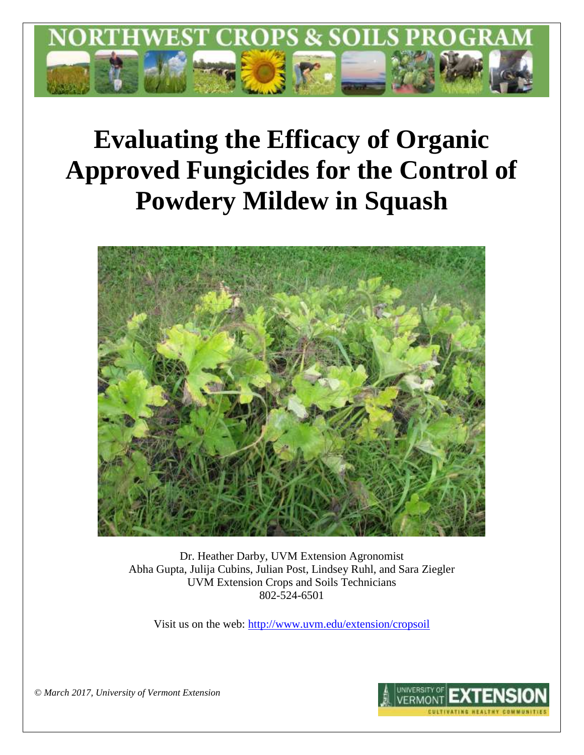

# **Evaluating the Efficacy of Organic Approved Fungicides for the Control of Powdery Mildew in Squash**



Dr. Heather Darby, UVM Extension Agronomist Abha Gupta, Julija Cubins, Julian Post, Lindsey Ruhl, and Sara Ziegler UVM Extension Crops and Soils Technicians 802-524-6501

Visit us on the web: <http://www.uvm.edu/extension/cropsoil>

**INIVERSITY O** 

*© March 2017, University of Vermont Extension*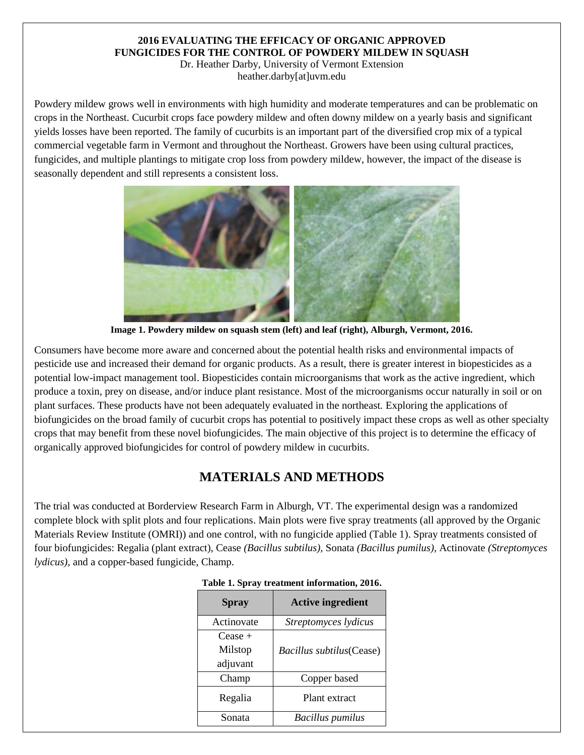## **2016 EVALUATING THE EFFICACY OF ORGANIC APPROVED FUNGICIDES FOR THE CONTROL OF POWDERY MILDEW IN SQUASH**

Dr. Heather Darby, University of Vermont Extension heather.darby[at]uvm.edu

Powdery mildew grows well in environments with high [humidity](http://en.wikipedia.org/wiki/Humidity) and moderate temperatures and can be problematic on crops in the Northeast. Cucurbit crops face powdery mildew and often downy mildew on a yearly basis and significant yields losses have been reported. The family of cucurbits is an important part of the diversified crop mix of a typical commercial vegetable farm in Vermont and throughout the Northeast. Growers have been using cultural practices, fungicides, and multiple plantings to mitigate crop loss from powdery mildew, however, the impact of the disease is seasonally dependent and still represents a consistent loss.



**Image 1. Powdery mildew on squash stem (left) and leaf (right), Alburgh, Vermont, 2016.**

Consumers have become more aware and concerned about the potential health risks and environmental impacts of pesticide use and increased their demand for organic products. As a result, there is greater interest in biopesticides as a potential low-impact management tool. Biopesticides contain microorganisms that work as the active ingredient, which produce a toxin, prey on disease, and/or induce plant resistance. Most of the microorganisms occur naturally in soil or on plant surfaces. These products have not been adequately evaluated in the northeast. Exploring the applications of biofungicides on the broad family of cucurbit crops has potential to positively impact these crops as well as other specialty crops that may benefit from these novel biofungicides. The main objective of this project is to determine the efficacy of organically approved biofungicides for control of powdery mildew in cucurbits.

# **MATERIALS AND METHODS**

The trial was conducted at Borderview Research Farm in Alburgh, VT. The experimental design was a randomized complete block with split plots and four replications. Main plots were five spray treatments (all approved by the Organic Materials Review Institute (OMRI)) and one control, with no fungicide applied (Table 1). Spray treatments consisted of four biofungicides: Regalia (plant extract), Cease *(Bacillus subtilus),* Sonata *(Bacillus pumilus),* Actinovate *(Streptomyces lydicus),* and a copper-based fungicide, Champ.

| <b>Spray</b>    | <b>Active ingredient</b> |  |  |
|-----------------|--------------------------|--|--|
| Actinovate      | Streptomyces lydicus     |  |  |
| $\text{Case} +$ |                          |  |  |
| Milstop         | Bacillus subtilus(Cease) |  |  |
| adjuvant        |                          |  |  |
| Champ           | Copper based             |  |  |
| Regalia         | Plant extract            |  |  |
| Sonata          | <b>Bacillus pumilus</b>  |  |  |

|  | Table 1. Spray treatment information, 2016. |  |
|--|---------------------------------------------|--|
|  |                                             |  |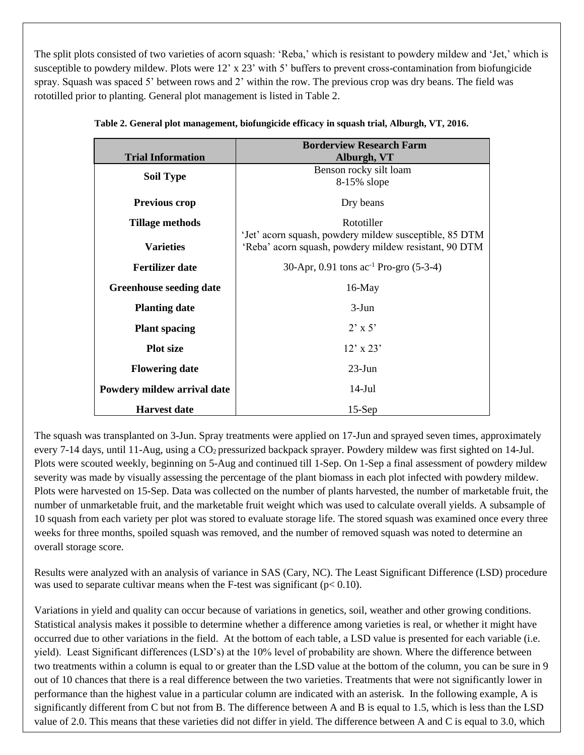The split plots consisted of two varieties of acorn squash: 'Reba,' which is resistant to powdery mildew and 'Jet,' which is susceptible to powdery mildew. Plots were 12' x 23' with 5' buffers to prevent cross-contamination from biofungicide spray. Squash was spaced 5' between rows and 2' within the row. The previous crop was dry beans. The field was rototilled prior to planting. General plot management is listed in Table 2.

|                                | <b>Borderview Research Farm</b>                        |  |  |  |
|--------------------------------|--------------------------------------------------------|--|--|--|
| <b>Trial Information</b>       | Alburgh, VT                                            |  |  |  |
| <b>Soil Type</b>               | Benson rocky silt loam                                 |  |  |  |
|                                | 8-15% slope                                            |  |  |  |
| <b>Previous crop</b>           | Dry beans                                              |  |  |  |
| <b>Tillage methods</b>         | Rototiller                                             |  |  |  |
|                                | 'Jet' acorn squash, powdery mildew susceptible, 85 DTM |  |  |  |
| <b>Varieties</b>               | 'Reba' acorn squash, powdery mildew resistant, 90 DTM  |  |  |  |
| <b>Fertilizer date</b>         | 30-Apr, 0.91 tons $ac^{-1}$ Pro-gro (5-3-4)            |  |  |  |
| <b>Greenhouse seeding date</b> | $16$ -May                                              |  |  |  |
| <b>Planting date</b>           | $3-J$ un                                               |  |  |  |
| <b>Plant spacing</b>           | $2' \times 5'$                                         |  |  |  |
| <b>Plot size</b>               | $12' \times 23'$                                       |  |  |  |
| <b>Flowering date</b>          | $23$ -Jun                                              |  |  |  |
| Powdery mildew arrival date    | $14$ -Jul                                              |  |  |  |
| <b>Harvest date</b>            | $15-Sep$                                               |  |  |  |

|  | Table 2. General plot management, biofungicide efficacy in squash trial, Alburgh, VT, 2016. |  |  |  |  |
|--|---------------------------------------------------------------------------------------------|--|--|--|--|
|--|---------------------------------------------------------------------------------------------|--|--|--|--|

The squash was transplanted on 3-Jun. Spray treatments were applied on 17-Jun and sprayed seven times, approximately every 7-14 days, until 11-Aug, using a  $CO<sub>2</sub>$  pressurized backpack sprayer. Powdery mildew was first sighted on 14-Jul. Plots were scouted weekly, beginning on 5-Aug and continued till 1-Sep. On 1-Sep a final assessment of powdery mildew severity was made by visually assessing the percentage of the plant biomass in each plot infected with powdery mildew. Plots were harvested on 15-Sep. Data was collected on the number of plants harvested, the number of marketable fruit, the number of unmarketable fruit, and the marketable fruit weight which was used to calculate overall yields. A subsample of 10 squash from each variety per plot was stored to evaluate storage life. The stored squash was examined once every three weeks for three months, spoiled squash was removed, and the number of removed squash was noted to determine an overall storage score.

Results were analyzed with an analysis of variance in SAS (Cary, NC). The Least Significant Difference (LSD) procedure was used to separate cultivar means when the F-test was significant ( $p < 0.10$ ).

Variations in yield and quality can occur because of variations in genetics, soil, weather and other growing conditions. Statistical analysis makes it possible to determine whether a difference among varieties is real, or whether it might have occurred due to other variations in the field. At the bottom of each table, a LSD value is presented for each variable (i.e. yield). Least Significant differences (LSD's) at the 10% level of probability are shown. Where the difference between two treatments within a column is equal to or greater than the LSD value at the bottom of the column, you can be sure in 9 out of 10 chances that there is a real difference between the two varieties. Treatments that were not significantly lower in performance than the highest value in a particular column are indicated with an asterisk. In the following example, A is significantly different from C but not from B. The difference between A and B is equal to 1.5, which is less than the LSD value of 2.0. This means that these varieties did not differ in yield. The difference between A and C is equal to 3.0, which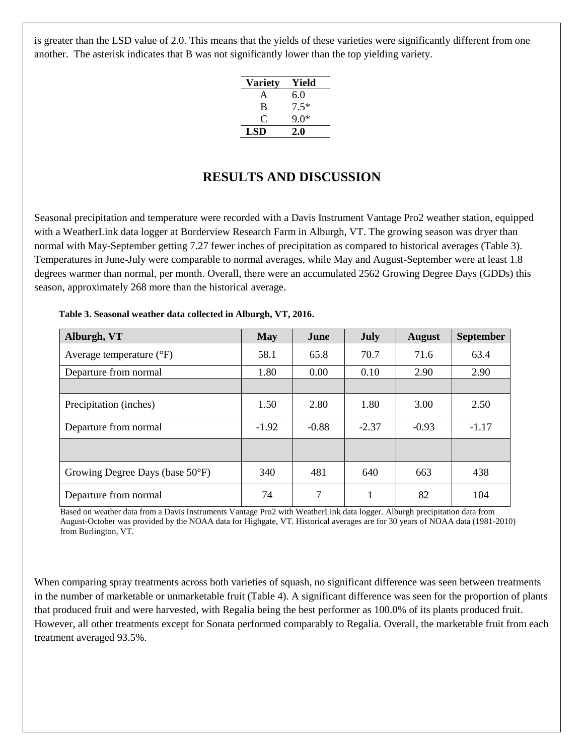is greater than the LSD value of 2.0. This means that the yields of these varieties were significantly different from one another. The asterisk indicates that B was not significantly lower than the top yielding variety.

| <b>Variety</b> | Yield  |
|----------------|--------|
| A              | 6.0    |
| B              | $7.5*$ |
| O              | 9 O*   |
| <b>LSD</b>     | 2.0    |

# **RESULTS AND DISCUSSION**

Seasonal precipitation and temperature were recorded with a Davis Instrument Vantage Pro2 weather station, equipped with a WeatherLink data logger at Borderview Research Farm in Alburgh, VT. The growing season was dryer than normal with May-September getting 7.27 fewer inches of precipitation as compared to historical averages (Table 3). Temperatures in June-July were comparable to normal averages, while May and August-September were at least 1.8 degrees warmer than normal, per month. Overall, there were an accumulated 2562 Growing Degree Days (GDDs) this season, approximately 268 more than the historical average.

| Alburgh, VT                       | <b>May</b> | June    | July    | <b>August</b> | <b>September</b> |
|-----------------------------------|------------|---------|---------|---------------|------------------|
| Average temperature $(^{\circ}F)$ | 58.1       | 65.8    | 70.7    | 71.6          | 63.4             |
| Departure from normal             | 1.80       | 0.00    | 0.10    | 2.90          | 2.90             |
|                                   |            |         |         |               |                  |
| Precipitation (inches)            | 1.50       | 2.80    | 1.80    | 3.00          | 2.50             |
| Departure from normal             | $-1.92$    | $-0.88$ | $-2.37$ | $-0.93$       | $-1.17$          |
|                                   |            |         |         |               |                  |
| Growing Degree Days (base 50°F)   | 340        | 481     | 640     | 663           | 438              |
| Departure from normal             | 74         | 7       |         | 82            | 104              |

#### **Table 3. Seasonal weather data collected in Alburgh, VT, 2016.**

Based on weather data from a Davis Instruments Vantage Pro2 with WeatherLink data logger. Alburgh precipitation data from August-October was provided by the NOAA data for Highgate, VT. Historical averages are for 30 years of NOAA data (1981-2010) from Burlington, VT.

When comparing spray treatments across both varieties of squash, no significant difference was seen between treatments in the number of marketable or unmarketable fruit (Table 4). A significant difference was seen for the proportion of plants that produced fruit and were harvested, with Regalia being the best performer as 100.0% of its plants produced fruit. However, all other treatments except for Sonata performed comparably to Regalia. Overall, the marketable fruit from each treatment averaged 93.5%.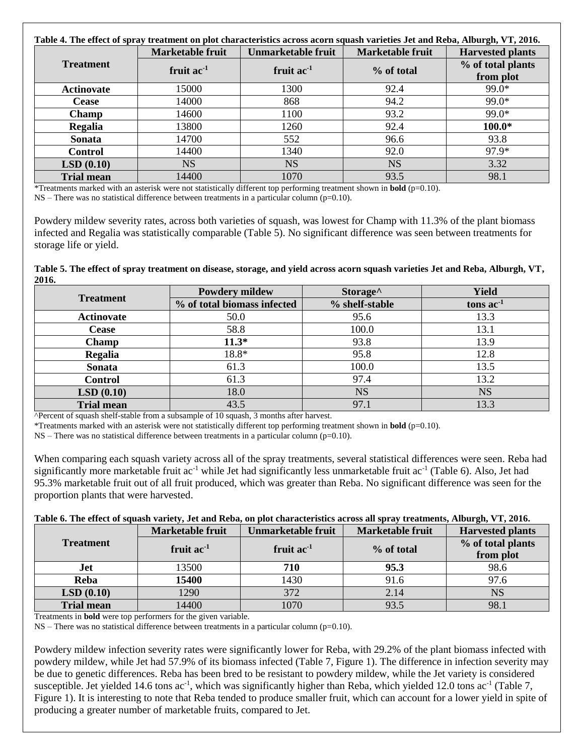| Table 4. The effect of spray treatment on plot characteristics across acorn squash varieties Jet and Reba, Alburgh, VT, 2016. |                  |                           |                  |                                |  |
|-------------------------------------------------------------------------------------------------------------------------------|------------------|---------------------------|------------------|--------------------------------|--|
|                                                                                                                               | Marketable fruit | <b>Unmarketable fruit</b> | Marketable fruit | <b>Harvested plants</b>        |  |
| <b>Treatment</b>                                                                                                              | fruit $ac^{-1}$  | fruit $ac^{-1}$           | % of total       | % of total plants<br>from plot |  |
| <b>Actinovate</b>                                                                                                             | 15000            | 1300                      | 92.4             | 99.0*                          |  |
| <b>Cease</b>                                                                                                                  | 14000            | 868                       | 94.2             | $99.0*$                        |  |
| Champ                                                                                                                         | 14600            | 1100                      | 93.2             | 99.0*                          |  |
| Regalia                                                                                                                       | 13800            | 1260                      | 92.4             | $100.0*$                       |  |
| Sonata                                                                                                                        | 14700            | 552                       | 96.6             | 93.8                           |  |
| <b>Control</b>                                                                                                                | 14400            | 1340                      | 92.0             | 97.9*                          |  |
| LSD(0.10)                                                                                                                     | <b>NS</b>        | <b>NS</b>                 | <b>NS</b>        | 3.32                           |  |
| <b>Trial mean</b>                                                                                                             | 14400            | 1070                      | 93.5             | 98.1                           |  |

\*Treatments marked with an asterisk were not statistically different top performing treatment shown in **bold** (p=0.10).

 $NS$  – There was no statistical difference between treatments in a particular column (p=0.10).

Powdery mildew severity rates, across both varieties of squash, was lowest for Champ with 11.3% of the plant biomass infected and Regalia was statistically comparable (Table 5). No significant difference was seen between treatments for storage life or yield.

**Table 5. The effect of spray treatment on disease, storage, and yield across acorn squash varieties Jet and Reba, Alburgh, VT, 2016.**

|                        | <b>Powdery mildew</b>       | Storage <sup>^</sup> | <b>Yield</b> |
|------------------------|-----------------------------|----------------------|--------------|
| <b>Treatment</b>       | % of total biomass infected | % shelf-stable       | tons $ac-1$  |
| <b>Actinovate</b>      | 50.0                        | 95.6                 | 13.3         |
| <b>Cease</b>           | 58.8                        | 100.0                | 13.1         |
| <b>Champ</b>           | $11.3*$                     | 93.8                 | 13.9         |
| Regalia                | 18.8*                       | 95.8                 | 12.8         |
| Sonata                 | 61.3                        | 100.0                | 13.5         |
| <b>Control</b>         | 61.3                        | 97.4                 | 13.2         |
| LSD(0.10)              | 18.0                        | <b>NS</b>            | <b>NS</b>    |
| <b>Trial mean</b><br>. | 43.5<br>.                   | 97.1                 | 13.3         |

^Percent of squash shelf-stable from a subsample of 10 squash, 3 months after harvest.

\*Treatments marked with an asterisk were not statistically different top performing treatment shown in **bold** (p=0.10).

 $NS$  – There was no statistical difference between treatments in a particular column ( $p=0.10$ ).

When comparing each squash variety across all of the spray treatments, several statistical differences were seen. Reba had significantly more marketable fruit  $ac^{-1}$  while Jet had significantly less unmarketable fruit  $ac^{-1}$  (Table 6). Also, Jet had 95.3% marketable fruit out of all fruit produced, which was greater than Reba. No significant difference was seen for the proportion plants that were harvested.

#### **Table 6. The effect of squash variety, Jet and Reba, on plot characteristics across all spray treatments, Alburgh, VT, 2016.**

|                   | <b>Marketable fruit</b> | Unmarketable fruit | <b>Marketable fruit</b> | <b>Harvested plants</b> |
|-------------------|-------------------------|--------------------|-------------------------|-------------------------|
| <b>Treatment</b>  | fruit $ac^{-1}$         | fruit $ac^{-1}$    | % of total              | % of total plants       |
|                   |                         |                    |                         | from plot               |
| Jet               | 13500                   | 710                | 95.3                    | 98.6                    |
| Reba              | 15400                   | 1430               | 91.6                    | 97.6                    |
| LSD(0.10)         | 1290                    | 372                | 2.14                    | NS                      |
| <b>Trial mean</b> | 14400                   | 1070               | 93.5                    | 98.                     |

Treatments in **bold** were top performers for the given variable.

 $NS$  – There was no statistical difference between treatments in a particular column ( $p=0.10$ ).

Powdery mildew infection severity rates were significantly lower for Reba, with 29.2% of the plant biomass infected with powdery mildew, while Jet had 57.9% of its biomass infected (Table 7, Figure 1). The difference in infection severity may be due to genetic differences. Reba has been bred to be resistant to powdery mildew, while the Jet variety is considered susceptible. Jet yielded 14.6 tons  $ac^{-1}$ , which was significantly higher than Reba, which yielded 12.0 tons  $ac^{-1}$  (Table 7, Figure 1). It is interesting to note that Reba tended to produce smaller fruit, which can account for a lower yield in spite of producing a greater number of marketable fruits, compared to Jet.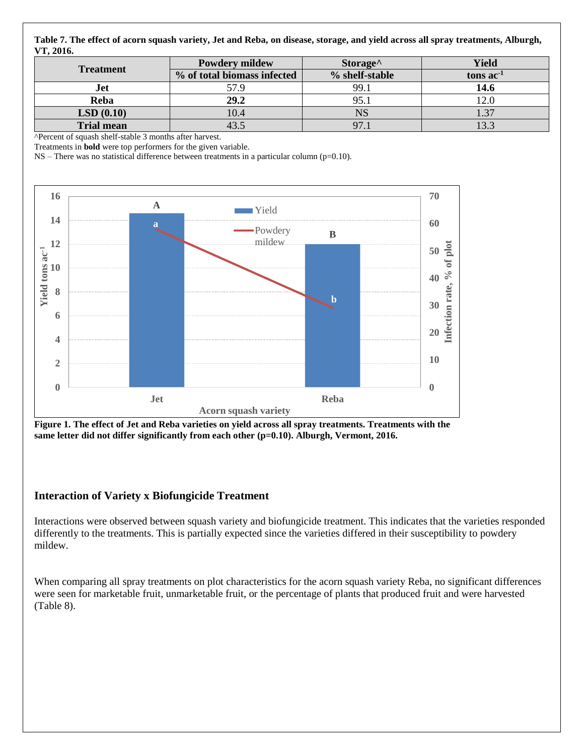**Table 7. The effect of acorn squash variety, Jet and Reba, on disease, storage, and yield across all spray treatments, Alburgh, VT, 2016.**

| <b>Treatment</b>  | <b>Powdery mildew</b>       | Storage <sup>^</sup> | <b>Yield</b>     |
|-------------------|-----------------------------|----------------------|------------------|
|                   | % of total biomass infected | % shelf-stable       | tons $ac-1$      |
| Jet               | 57.9                        | 99.1                 | 14.6             |
| Reba              | 29.2                        | 95.1                 | $\overline{2.0}$ |
| LSD(0.10)         | 10.4                        | <b>NS</b>            | 27               |
| <b>Trial mean</b> |                             | 97.1                 | 133              |

^Percent of squash shelf-stable 3 months after harvest.

Treatments in **bold** were top performers for the given variable.

NS – There was no statistical difference between treatments in a particular column (p=0.10).



**Figure 1. The effect of Jet and Reba varieties on yield across all spray treatments. Treatments with the**  same letter did not differ significantly from each other (p=0.10). Alburgh, Vermont, 2016.

## **Interaction of Variety x Biofungicide Treatment**

Interactions were observed between squash variety and biofungicide treatment. This indicates that the varieties responded differently to the treatments. This is partially expected since the varieties differed in their susceptibility to powdery mildew.

When comparing all spray treatments on plot characteristics for the acorn squash variety Reba, no significant differences were seen for marketable fruit, unmarketable fruit, or the percentage of plants that produced fruit and were harvested (Table 8).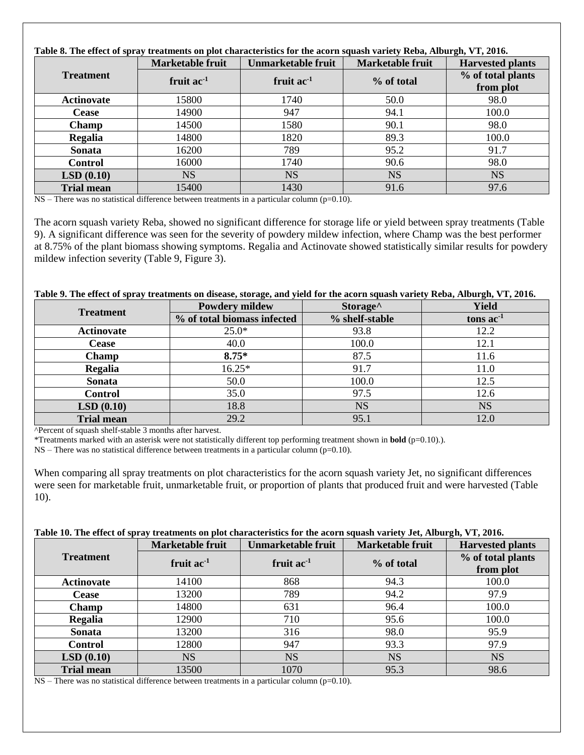| Table 8. The effect of spray treatments on plot characteristics for the acorn squash variety Reba, Alburgh, VT, 2016. |                  |                           |                  |                                |  |
|-----------------------------------------------------------------------------------------------------------------------|------------------|---------------------------|------------------|--------------------------------|--|
|                                                                                                                       | Marketable fruit | <b>Unmarketable fruit</b> | Marketable fruit | <b>Harvested plants</b>        |  |
| <b>Treatment</b>                                                                                                      | fruit $ac-1$     | fruit $ac^{-1}$           | % of total       | % of total plants<br>from plot |  |
| <b>Actinovate</b>                                                                                                     | 15800            | 1740                      | 50.0             | 98.0                           |  |
| <b>Cease</b>                                                                                                          | 14900            | 947                       | 94.1             | 100.0                          |  |
| <b>Champ</b>                                                                                                          | 14500            | 1580                      | 90.1             | 98.0                           |  |
| Regalia                                                                                                               | 14800            | 1820                      | 89.3             | 100.0                          |  |
| Sonata                                                                                                                | 16200            | 789                       | 95.2             | 91.7                           |  |
| <b>Control</b>                                                                                                        | 16000            | 1740                      | 90.6             | 98.0                           |  |
| LSD(0.10)                                                                                                             | <b>NS</b>        | <b>NS</b>                 | <b>NS</b>        | <b>NS</b>                      |  |
| <b>Trial mean</b>                                                                                                     | 15400            | 1430                      | 91.6             | 97.6                           |  |

 $NS$  – There was no statistical difference between treatments in a particular column ( $p=0.10$ ).

The acorn squash variety Reba, showed no significant difference for storage life or yield between spray treatments (Table 9). A significant difference was seen for the severity of powdery mildew infection, where Champ was the best performer at 8.75% of the plant biomass showing symptoms. Regalia and Actinovate showed statistically similar results for powdery mildew infection severity (Table 9, Figure 3).

### **Table 9. The effect of spray treatments on disease, storage, and yield for the acorn squash variety Reba, Alburgh, VT, 2016.**

| <b>Treatment</b>  | <b>Powdery mildew</b>       | Storage <sup>^</sup> | Yield       |
|-------------------|-----------------------------|----------------------|-------------|
|                   | % of total biomass infected | % shelf-stable       | tons $ac-1$ |
| <b>Actinovate</b> | $25.0*$                     | 93.8                 | 12.2        |
| <b>Cease</b>      | 40.0                        | 100.0                | 12.1        |
| <b>Champ</b>      | $8.75*$                     | 87.5                 | 11.6        |
| Regalia           | $16.25*$                    | 91.7                 | 11.0        |
| Sonata            | 50.0                        | 100.0                | 12.5        |
| <b>Control</b>    | 35.0                        | 97.5                 | 12.6        |
| LSD(0.10)         | 18.8                        | <b>NS</b>            | <b>NS</b>   |
| <b>Trial mean</b> | 29.2                        | 95.1                 | 12.0        |

^Percent of squash shelf-stable 3 months after harvest.

\*Treatments marked with an asterisk were not statistically different top performing treatment shown in **bold** (p=0.10).).

NS – There was no statistical difference between treatments in a particular column (p=0.10).

When comparing all spray treatments on plot characteristics for the acorn squash variety Jet, no significant differences were seen for marketable fruit, unmarketable fruit, or proportion of plants that produced fruit and were harvested (Table 10).

#### **Treatment Marketable fruit** | Unmarketable fruit | Marketable fruit | Harvested plants **fruit ac-1 fruit ac-1 % of total % of total plants from plot Actinovate** 14100 868 94.3 100.0 **Cease** 13200 789 94.2 97.9 **Champ** 14800 631 96.4 100.0 **Regalia** 12900 1 710 95.6 100.0 **Sonata** 13200 316 98.0 95.9 **Control** 12800 947 93.3 97.9 **LSD** (0.10)  $\vert$  NS  $\vert$  NS NS NS NS **Trial mean**  $\begin{array}{|c|c|c|c|c|} \hline \end{array}$  13500 1070 1070 95.3 1 98.6

**Table 10. The effect of spray treatments on plot characteristics for the acorn squash variety Jet, Alburgh, VT, 2016.**

 $NS$  – There was no statistical difference between treatments in a particular column ( $p=0.10$ ).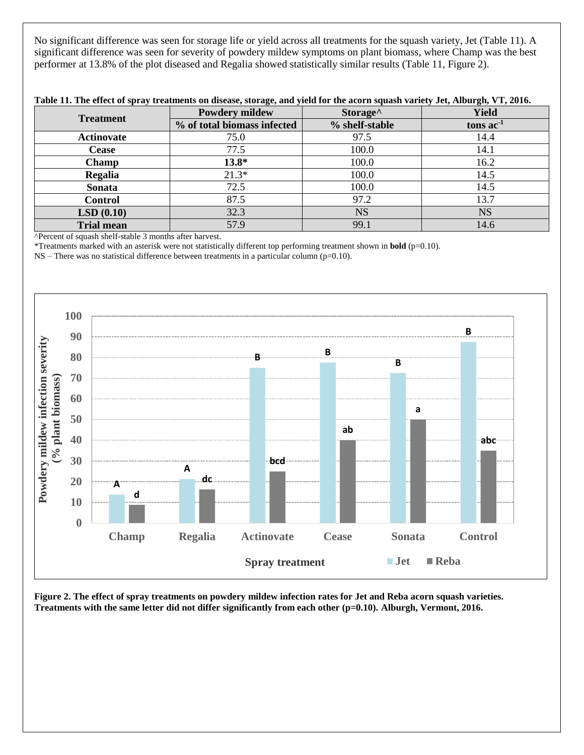No significant difference was seen for storage life or yield across all treatments for the squash variety, Jet (Table 11). A significant difference was seen for severity of powdery mildew symptoms on plant biomass, where Champ was the best performer at 13.8% of the plot diseased and Regalia showed statistically similar results (Table 11, Figure 2).

| <b>Treatment</b>  | <b>Powdery mildew</b>       | Storage <sup>^</sup> | <b>Yield</b><br>tons $ac-1$ |  |
|-------------------|-----------------------------|----------------------|-----------------------------|--|
|                   | % of total biomass infected | % shelf-stable       |                             |  |
| <b>Actinovate</b> | 75.0                        | 97.5                 | 14.4                        |  |
| <b>Cease</b>      | 77.5                        | 100.0                | 14.1                        |  |
| Champ             | $13.8*$                     | 100.0                | 16.2                        |  |
| Regalia           | $21.3*$                     | 100.0                | 14.5                        |  |
| Sonata            | 72.5                        | 100.0                | 14.5                        |  |
| <b>Control</b>    | 87.5                        | 97.2                 | 13.7                        |  |
| LSD(0.10)         | 32.3                        | <b>NS</b>            | <b>NS</b>                   |  |
| <b>Trial mean</b> | 57.9                        | 99.1                 | 14.6                        |  |

^Percent of squash shelf-stable 3 months after harvest.

\*Treatments marked with an asterisk were not statistically different top performing treatment shown in **bold** (p=0.10).

NS – There was no statistical difference between treatments in a particular column (p=0.10).



**Figure 2. The effect of spray treatments on powdery mildew infection rates for Jet and Reba acorn squash varieties. Treatments with the same letter did not differ significantly from each other (p=0.10). Alburgh, Vermont, 2016.**